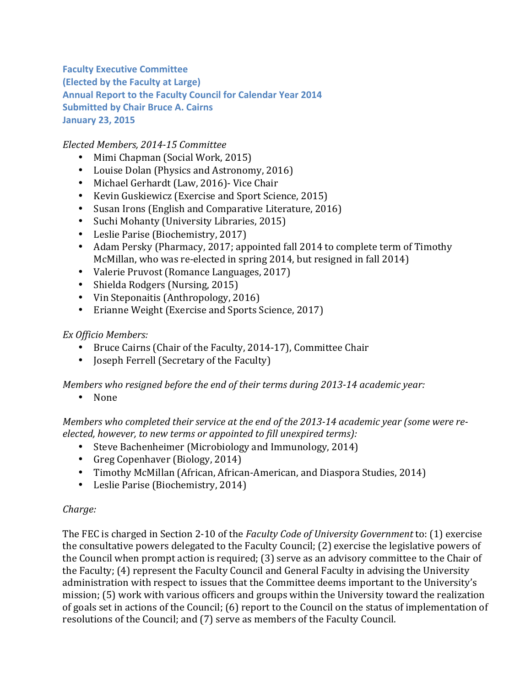**Faculty Executive Committee (Elected by the Faculty at Large) Annual Report to the Faculty Council for Calendar Year 2014 Submitted by Chair Bruce A. Cairns January 23, 2015**

*Elected Members, 2014-15 Committee*

- Mimi Chapman (Social Work, 2015)
- Louise Dolan (Physics and Astronomy, 2016)
- Michael Gerhardt (Law, 2016) Vice Chair
- Kevin Guskiewicz (Exercise and Sport Science, 2015)
- Susan Irons (English and Comparative Literature, 2016)
- Suchi Mohanty (University Libraries, 2015)
- Leslie Parise (Biochemistry, 2017)
- Adam Persky (Pharmacy, 2017; appointed fall 2014 to complete term of Timothy McMillan, who was re-elected in spring 2014, but resigned in fall 2014)
- Valerie Pruvost (Romance Languages, 2017)
- Shielda Rodgers (Nursing, 2015)
- Vin Steponaitis (Anthropology, 2016)
- Erianne Weight (Exercise and Sports Science, 2017)

## *Ex Officio Members:*

- Bruce Cairns (Chair of the Faculty, 2014-17), Committee Chair
- Joseph Ferrell (Secretary of the Faculty)

*Members* who resigned before the end of their terms during 2013-14 academic year:

• None

*Members* who completed their service at the end of the 2013-14 academic year (some were re*elected, however, to new terms or appointed to fill unexpired terms):* 

- Steve Bachenheimer (Microbiology and Immunology, 2014)
- Greg Copenhaver (Biology, 2014)
- Timothy McMillan (African, African-American, and Diaspora Studies, 2014)
- Leslie Parise (Biochemistry, 2014)

## *Charge:*

The FEC is charged in Section 2-10 of the *Faculty Code of University Government* to: (1) exercise the consultative powers delegated to the Faculty Council; (2) exercise the legislative powers of the Council when prompt action is required; (3) serve as an advisory committee to the Chair of the Faculty; (4) represent the Faculty Council and General Faculty in advising the University administration with respect to issues that the Committee deems important to the University's mission; (5) work with various officers and groups within the University toward the realization of goals set in actions of the Council; (6) report to the Council on the status of implementation of resolutions of the Council; and (7) serve as members of the Faculty Council.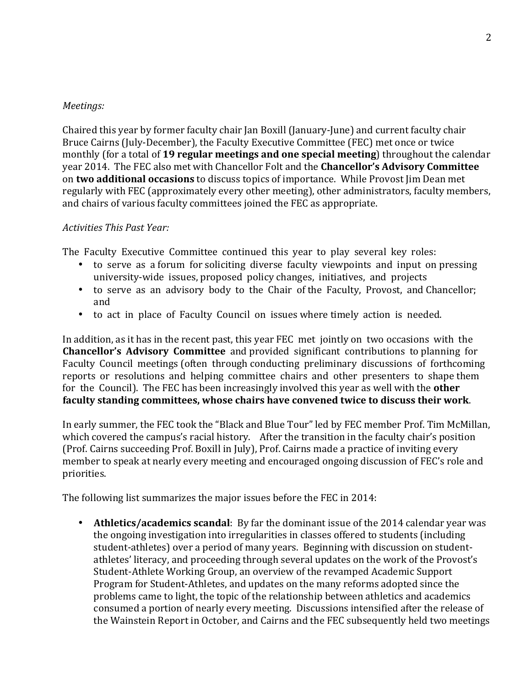## *Meetings:*

Chaired this year by former faculty chair Jan Boxill (January-June) and current faculty chair Bruce Cairns (July-December), the Faculty Executive Committee (FEC) met once or twice monthly (for a total of 19 regular meetings and one special meeting) throughout the calendar year 2014. The FEC also met with Chancellor Folt and the **Chancellor's Advisory Committee** on **two additional occasions** to discuss topics of importance. While Provost Jim Dean met regularly with FEC (approximately every other meeting), other administrators, faculty members, and chairs of various faculty committees joined the FEC as appropriate.

## *Activities This Past Year:*

The Faculty Executive Committee continued this year to play several key roles:

- to serve as a forum for soliciting diverse faculty viewpoints and input on pressing university-wide issues, proposed policy changes, initiatives, and projects
- to serve as an advisory body to the Chair of the Faculty, Provost, and Chancellor; and
- to act in place of Faculty Council on issues where timely action is needed.

In addition, as it has in the recent past, this year FEC met jointly on two occasions with the **Chancellor's Advisory Committee** and provided significant contributions to planning for Faculty Council meetings (often through conducting preliminary discussions of forthcoming reports or resolutions and helping committee chairs and other presenters to shape them for the Council). The FEC has been increasingly involved this year as well with the **other** faculty standing committees, whose chairs have convened twice to discuss their work.

In early summer, the FEC took the "Black and Blue Tour" led by FEC member Prof. Tim McMillan, which covered the campus's racial history. After the transition in the faculty chair's position (Prof. Cairns succeeding Prof. Boxill in July), Prof. Cairns made a practice of inviting every member to speak at nearly every meeting and encouraged ongoing discussion of FEC's role and priorities. 

The following list summarizes the major issues before the FEC in 2014:

• **Athletics/academics scandal**: By far the dominant issue of the 2014 calendar year was the ongoing investigation into irregularities in classes offered to students (including student-athletes) over a period of many years. Beginning with discussion on studentathletes' literacy, and proceeding through several updates on the work of the Provost's Student-Athlete Working Group, an overview of the revamped Academic Support Program for Student-Athletes, and updates on the many reforms adopted since the problems came to light, the topic of the relationship between athletics and academics consumed a portion of nearly every meeting. Discussions intensified after the release of the Wainstein Report in October, and Cairns and the FEC subsequently held two meetings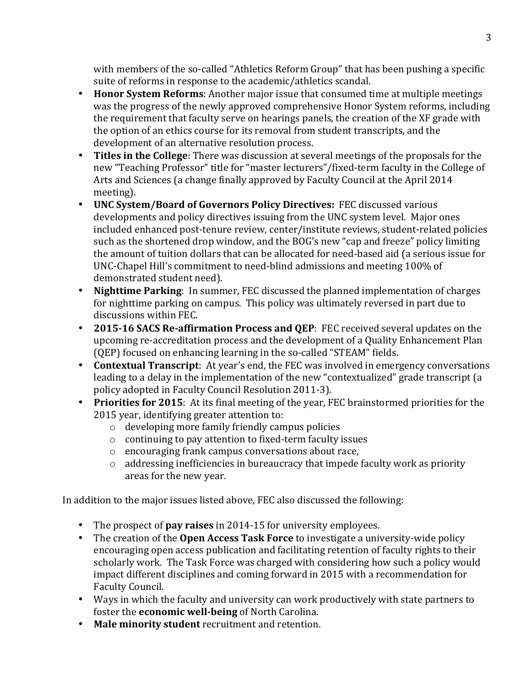with members of the so-called "Athletics Reform Group" that has been pushing a specific suite of reforms in response to the academic/athletics scandal.

- **Honor System Reforms:** Another major issue that consumed time at multiple meetings was the progress of the newly approved comprehensive Honor System reforms, including the requirement that faculty serve on hearings panels, the creation of the XF grade with the option of an ethics course for its removal from student transcripts, and the development of an alternative resolution process.
- Titles in the College: There was discussion at several meetings of the proposals for the new "Teaching Professor" title for "master lecturers"/fixed-term faculty in the College of Arts and Sciences (a change finally approved by Faculty Council at the April 2014 meeting).
- UNC System/Board of Governors Policy Directives: FEC discussed various developments and policy directives issuing from the UNC system level. Major ones included enhanced post-tenure review, center/institute reviews, student-related policies such as the shortened drop window, and the BOG's new "cap and freeze" policy limiting the amount of tuition dollars that can be allocated for need-based aid (a serious issue for UNC-Chapel Hill's commitment to need-blind admissions and meeting 100% of demonstrated student need).
- Nighttime Parking: In summer, FEC discussed the planned implementation of charges for nighttime parking on campus. This policy was ultimately reversed in part due to discussions within FEC.
- 2015-16 SACS Re-affirmation Process and QEP: FEC received several updates on the upcoming re-accreditation process and the development of a Quality Enhancement Plan (QEP) focused on enhancing learning in the so-called "STEAM" fields.
- **Contextual Transcript**: At year's end, the FEC was involved in emergency conversations leading to a delay in the implementation of the new "contextualized" grade transcript (a policy adopted in Faculty Council Resolution 2011-3).
- Priorities for 2015: At its final meeting of the year, FEC brainstormed priorities for the 2015 year, identifying greater attention to:
	- $\circ$  developing more family friendly campus policies
	- $\circ$  continuing to pay attention to fixed-term faculty issues
	- $\circ$  encouraging frank campus conversations about race,
	- $\circ$  addressing inefficiencies in bureaucracy that impede faculty work as priority areas for the new year.

In addition to the major issues listed above, FEC also discussed the following:

- The prospect of **pay raises** in 2014-15 for university employees.
- The creation of the **Open Access Task Force** to investigate a university-wide policy encouraging open access publication and facilitating retention of faculty rights to their scholarly work. The Task Force was charged with considering how such a policy would impact different disciplines and coming forward in 2015 with a recommendation for Faculty Council.
- Ways in which the faculty and university can work productively with state partners to foster the **economic well-being** of North Carolina.
- Male minority student recruitment and retention.